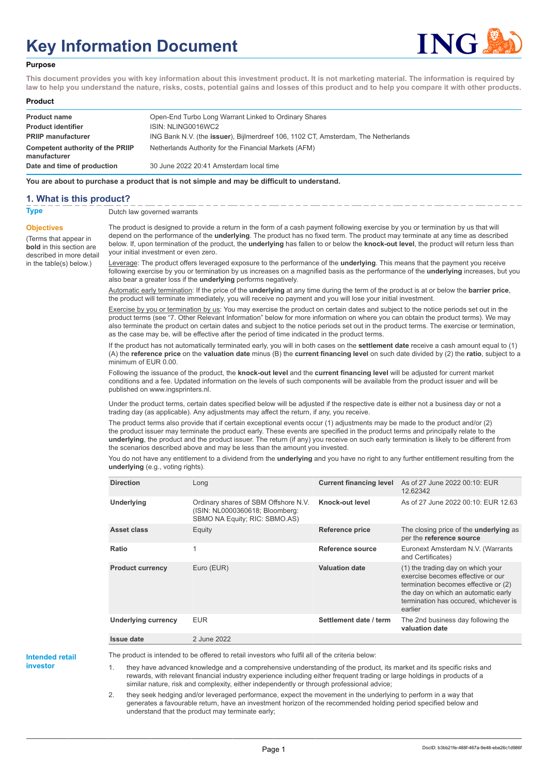# **Key Information Document**



#### **Purpose**

**This document provides you with key information about this investment product. It is not marketing material. The information is required by law to help you understand the nature, risks, costs, potential gains and losses of this product and to help you compare it with other products.**

#### **Product**

| <b>Product name</b>                              | Open-End Turbo Long Warrant Linked to Ordinary Shares                             |
|--------------------------------------------------|-----------------------------------------------------------------------------------|
| <b>Product identifier</b>                        | ISIN: NLING0016WC2                                                                |
| <b>PRIIP manufacturer</b>                        | ING Bank N.V. (the issuer), Bijlmerdreef 106, 1102 CT, Amsterdam, The Netherlands |
| Competent authority of the PRIIP<br>manufacturer | Netherlands Authority for the Financial Markets (AFM)                             |
| Date and time of production                      | 30 June 2022 20:41 Amsterdam local time                                           |

**You are about to purchase a product that is not simple and may be difficult to understand.**

### **1. What is this product?**

**Objectives**

(Terms that appear in **bold** in this section are

in the table(s) below.)

**Type** Dutch law governed warrants

described in more detail The product is designed to provide a return in the form of a cash payment following exercise by you or termination by us that will depend on the performance of the **underlying**. The product has no fixed term. The product may terminate at any time as described below. If, upon termination of the product, the **underlying** has fallen to or below the **knock-out level**, the product will return less than your initial investment or even zero.

> Leverage: The product offers leveraged exposure to the performance of the **underlying**. This means that the payment you receive following exercise by you or termination by us increases on a magnified basis as the performance of the **underlying** increases, but you also bear a greater loss if the **underlying** performs negatively.

Automatic early termination: If the price of the **underlying** at any time during the term of the product is at or below the **barrier price**, the product will terminate immediately, you will receive no payment and you will lose your initial investment.

Exercise by you or termination by us: You may exercise the product on certain dates and subject to the notice periods set out in the product terms (see "7. Other Relevant Information" below for more information on where you can obtain the product terms). We may also terminate the product on certain dates and subject to the notice periods set out in the product terms. The exercise or termination, as the case may be, will be effective after the period of time indicated in the product terms.

If the product has not automatically terminated early, you will in both cases on the **settlement date** receive a cash amount equal to (1) (A) the **reference price** on the **valuation date** minus (B) the **current financing level** on such date divided by (2) the **ratio**, subject to a minimum of EUR 0.00.

Following the issuance of the product, the **knock-out level** and the **current financing level** will be adjusted for current market conditions and a fee. Updated information on the levels of such components will be available from the product issuer and will be published on www.ingsprinters.nl.

Under the product terms, certain dates specified below will be adjusted if the respective date is either not a business day or not a trading day (as applicable). Any adjustments may affect the return, if any, you receive.

The product terms also provide that if certain exceptional events occur (1) adjustments may be made to the product and/or (2) the product issuer may terminate the product early. These events are specified in the product terms and principally relate to the **underlying**, the product and the product issuer. The return (if any) you receive on such early termination is likely to be different from the scenarios described above and may be less than the amount you invested.

You do not have any entitlement to a dividend from the **underlying** and you have no right to any further entitlement resulting from the **underlying** (e.g., voting rights).

| <b>Direction</b>           | Long                                                                                                     | <b>Current financing level</b> | As of 27 June 2022 00:10: EUR<br>12.62342                                                                                                                                                                 |
|----------------------------|----------------------------------------------------------------------------------------------------------|--------------------------------|-----------------------------------------------------------------------------------------------------------------------------------------------------------------------------------------------------------|
| <b>Underlying</b>          | Ordinary shares of SBM Offshore N.V.<br>(ISIN: NL0000360618; Bloomberg:<br>SBMO NA Equity; RIC: SBMO.AS) | Knock-out level                | As of 27 June 2022 00:10: EUR 12.63                                                                                                                                                                       |
| Asset class                | Equity                                                                                                   | Reference price                | The closing price of the <b>underlying</b> as<br>per the reference source                                                                                                                                 |
| Ratio                      | 1                                                                                                        | Reference source               | Euronext Amsterdam N.V. (Warrants<br>and Certificates)                                                                                                                                                    |
| <b>Product currency</b>    | Euro (EUR)                                                                                               | <b>Valuation date</b>          | (1) the trading day on which your<br>exercise becomes effective or our<br>termination becomes effective or (2)<br>the day on which an automatic early<br>termination has occured, whichever is<br>earlier |
| <b>Underlying currency</b> | <b>EUR</b>                                                                                               | Settlement date / term         | The 2nd business day following the<br>valuation date                                                                                                                                                      |
| <b>Issue date</b>          | 2 June 2022                                                                                              |                                |                                                                                                                                                                                                           |

**Intended retail**

**investor**

The product is intended to be offered to retail investors who fulfil all of the criteria below:

1. they have advanced knowledge and a comprehensive understanding of the product, its market and its specific risks and rewards, with relevant financial industry experience including either frequent trading or large holdings in products of a similar nature, risk and complexity, either independently or through professional advice;

2. they seek hedging and/or leveraged performance, expect the movement in the underlying to perform in a way that generates a favourable return, have an investment horizon of the recommended holding period specified below and understand that the product may terminate early;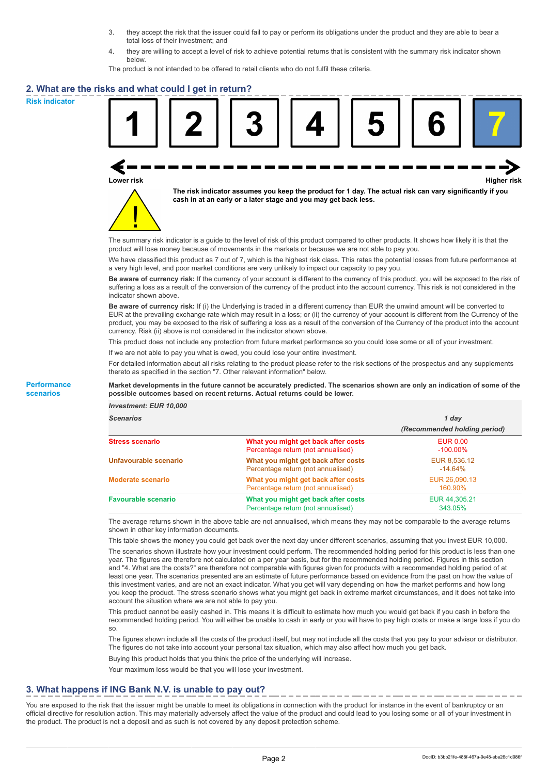- 3. they accept the risk that the issuer could fail to pay or perform its obligations under the product and they are able to bear a total loss of their investment; and
- 4. they are willing to accept a level of risk to achieve potential returns that is consistent with the summary risk indicator shown below.

The product is not intended to be offered to retail clients who do not fulfil these criteria.

### **2. What are the risks and what could I get in return?**

**Risk indicator**

**Performance scenarios**





**The risk indicator assumes you keep the product for 1 day. The actual risk can vary significantly if you cash in at an early or a later stage and you may get back less.**

The summary risk indicator is a guide to the level of risk of this product compared to other products. It shows how likely it is that the product will lose money because of movements in the markets or because we are not able to pay you.

We have classified this product as 7 out of 7, which is the highest risk class. This rates the potential losses from future performance at a very high level, and poor market conditions are very unlikely to impact our capacity to pay you.

**Be aware of currency risk:** If the currency of your account is different to the currency of this product, you will be exposed to the risk of suffering a loss as a result of the conversion of the currency of the product into the account currency. This risk is not considered in the indicator shown above.

**Be aware of currency risk:** If (i) the Underlying is traded in a different currency than EUR the unwind amount will be converted to EUR at the prevailing exchange rate which may result in a loss; or (ii) the currency of your account is different from the Currency of the product, you may be exposed to the risk of suffering a loss as a result of the conversion of the Currency of the product into the account currency. Risk (ii) above is not considered in the indicator shown above.

This product does not include any protection from future market performance so you could lose some or all of your investment.

If we are not able to pay you what is owed, you could lose your entire investment.

For detailed information about all risks relating to the product please refer to the risk sections of the prospectus and any supplements thereto as specified in the section "7. Other relevant information" below.

#### **Market developments in the future cannot be accurately predicted. The scenarios shown are only an indication of some of the possible outcomes based on recent returns. Actual returns could be lower.**

*Investment: EUR 10,000*

| <b>cenarios</b> |  |  |
|-----------------|--|--|
|                 |  |  |

| <b>Scenarios</b>           |                                                                           | 1 day                          |  |
|----------------------------|---------------------------------------------------------------------------|--------------------------------|--|
|                            |                                                                           | (Recommended holding period)   |  |
| Stress scenario            | What you might get back after costs<br>Percentage return (not annualised) | <b>EUR 0.00</b><br>$-100.00\%$ |  |
| Unfavourable scenario      | What you might get back after costs<br>Percentage return (not annualised) | EUR 8,536.12<br>$-14.64%$      |  |
| <b>Moderate scenario</b>   | What you might get back after costs<br>Percentage return (not annualised) | EUR 26,090.13<br>160.90%       |  |
| <b>Favourable scenario</b> | What you might get back after costs<br>Percentage return (not annualised) | EUR 44,305.21<br>343.05%       |  |

The average returns shown in the above table are not annualised, which means they may not be comparable to the average returns shown in other key information documents.

This table shows the money you could get back over the next day under different scenarios, assuming that you invest EUR 10,000.

The scenarios shown illustrate how your investment could perform. The recommended holding period for this product is less than one year. The figures are therefore not calculated on a per year basis, but for the recommended holding period. Figures in this section and "4. What are the costs?" are therefore not comparable with figures given for products with a recommended holding period of at least one year. The scenarios presented are an estimate of future performance based on evidence from the past on how the value of this investment varies, and are not an exact indicator. What you get will vary depending on how the market performs and how long you keep the product. The stress scenario shows what you might get back in extreme market circumstances, and it does not take into account the situation where we are not able to pay you.

This product cannot be easily cashed in. This means it is difficult to estimate how much you would get back if you cash in before the recommended holding period. You will either be unable to cash in early or you will have to pay high costs or make a large loss if you do so.

The figures shown include all the costs of the product itself, but may not include all the costs that you pay to your advisor or distributor. The figures do not take into account your personal tax situation, which may also affect how much you get back.

Buying this product holds that you think the price of the underlying will increase.

Your maximum loss would be that you will lose your investment.

## **3. What happens if ING Bank N.V. is unable to pay out?**

You are exposed to the risk that the issuer might be unable to meet its obligations in connection with the product for instance in the event of bankruptcy or an official directive for resolution action. This may materially adversely affect the value of the product and could lead to you losing some or all of your investment in the product. The product is not a deposit and as such is not covered by any deposit protection scheme.